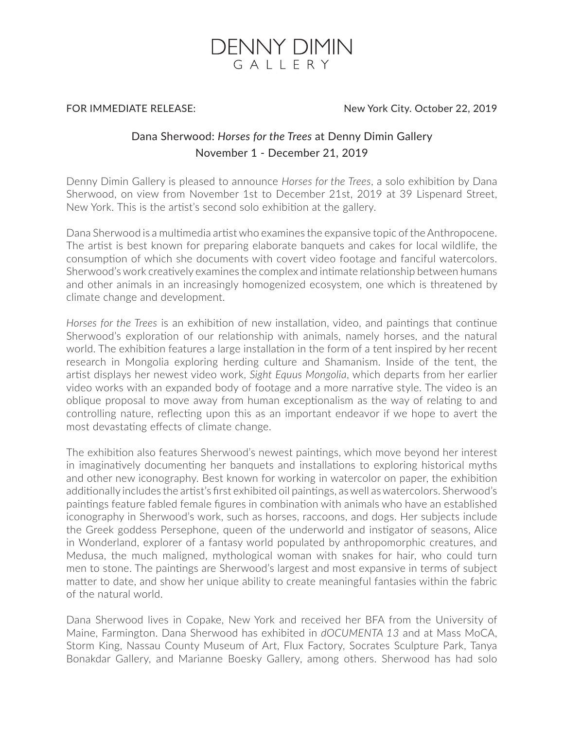## **DENNY DIMIN**  $G A \cup F R Y$

## FOR IMMEDIATE RELEASE:

New York City. October 22, 2019

## Dana Sherwood: *Horses for the Trees* at Denny Dimin Gallery November 1 - December 21, 2019

Denny Dimin Gallery is pleased to announce *Horses for the Trees*, a solo exhibition by Dana Sherwood, on view from November 1st to December 21st, 2019 at 39 Lispenard Street, New York. This is the artist's second solo exhibition at the gallery.

Dana Sherwood is a multimedia artist who examines the expansive topic of the Anthropocene. The artist is best known for preparing elaborate banquets and cakes for local wildlife, the consumption of which she documents with covert video footage and fanciful watercolors. Sherwood's work creatively examines the complex and intimate relationship between humans and other animals in an increasingly homogenized ecosystem, one which is threatened by climate change and development.

*Horses for the Trees* is an exhibition of new installation, video, and paintings that continue Sherwood's exploration of our relationship with animals, namely horses, and the natural world. The exhibition features a large installation in the form of a tent inspired by her recent research in Mongolia exploring herding culture and Shamanism. Inside of the tent, the artist displays her newest video work, *Sight Equus Mongolia*, which departs from her earlier video works with an expanded body of footage and a more narrative style. The video is an oblique proposal to move away from human exceptionalism as the way of relating to and controlling nature, reflecting upon this as an important endeavor if we hope to avert the most devastating effects of climate change.

The exhibition also features Sherwood's newest paintings, which move beyond her interest in imaginatively documenting her banquets and installations to exploring historical myths and other new iconography. Best known for working in watercolor on paper, the exhibition additionally includes the artist's first exhibited oil paintings, as well as watercolors. Sherwood's paintings feature fabled female figures in combination with animals who have an established iconography in Sherwood's work, such as horses, raccoons, and dogs. Her subjects include the Greek goddess Persephone, queen of the underworld and instigator of seasons, Alice in Wonderland, explorer of a fantasy world populated by anthropomorphic creatures, and Medusa, the much maligned, mythological woman with snakes for hair, who could turn men to stone. The paintings are Sherwood's largest and most expansive in terms of subject matter to date, and show her unique ability to create meaningful fantasies within the fabric of the natural world.

Dana Sherwood lives in Copake, New York and received her BFA from the University of Maine, Farmington. Dana Sherwood has exhibited in *dOCUMENTA 13* and at Mass MoCA, Storm King, Nassau County Museum of Art, Flux Factory, Socrates Sculpture Park, Tanya Bonakdar Gallery, and Marianne Boesky Gallery, among others. Sherwood has had solo